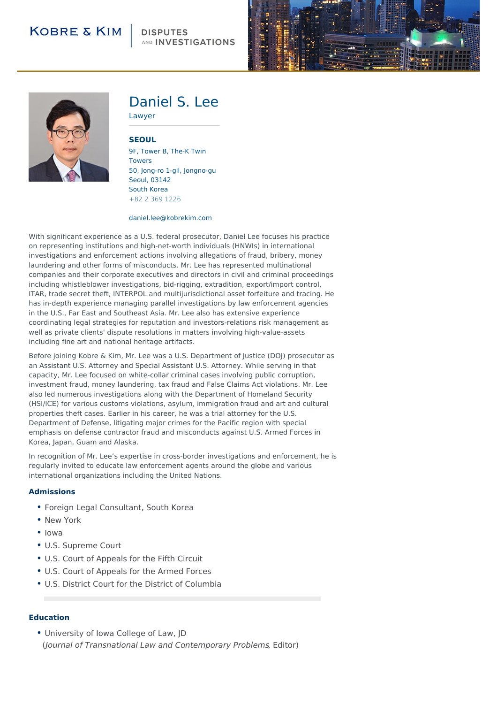# **KOBRE & KIM**

# AND **INVESTIGATIONS**





# Daniel S. Lee

Lawyer

### **[SEOUL](http://104.130.141.44/locations/seoul)**

9F, Tower B, The-K Twin Towers 50, Jong-ro 1-gil, Jongno-gu Seoul, 03142 South Korea +82 2 369 1226

#### daniel.lee@kobrekim.com

With significant experience as a U.S. federal prosecutor, Daniel Lee focuses his practice on representing institutions and high-net-worth individuals (HNWIs) in international investigations and enforcement actions involving allegations of fraud, bribery, money laundering and other forms of misconducts. Mr. Lee has represented multinational companies and their corporate executives and directors in civil and criminal proceedings including whistleblower investigations, bid-rigging, extradition, export/import control, ITAR, trade secret theft, INTERPOL and multijurisdictional asset forfeiture and tracing. He has in-depth experience managing parallel investigations by law enforcement agencies in the U.S., Far East and Southeast Asia. Mr. Lee also has extensive experience coordinating legal strategies for reputation and investors-relations risk management as well as private clients' dispute resolutions in matters involving high-value-assets including fine art and national heritage artifacts.

Before joining Kobre & Kim, Mr. Lee was a U.S. Department of Justice (DOJ) prosecutor as an Assistant U.S. Attorney and Special Assistant U.S. Attorney. While serving in that capacity, Mr. Lee focused on white-collar criminal cases involving public corruption, investment fraud, money laundering, tax fraud and False Claims Act violations. Mr. Lee also led numerous investigations along with the Department of Homeland Security (HSI/ICE) for various customs violations, asylum, immigration fraud and art and cultural properties theft cases. Earlier in his career, he was a trial attorney for the U.S. Department of Defense, litigating major crimes for the Pacific region with special emphasis on defense contractor fraud and misconducts against U.S. Armed Forces in Korea, Japan, Guam and Alaska.

In recognition of Mr. Lee's expertise in cross-border investigations and enforcement, he is regularly invited to educate law enforcement agents around the globe and various international organizations including the United Nations.

### **Admissions**

- Foreign Legal Consultant, South Korea
- New York
- Iowa
- U.S. Supreme Court
- U.S. Court of Appeals for the Fifth Circuit
- U.S. Court of Appeals for the Armed Forces
- U.S. District Court for the District of Columbia

### **Education**

• University of Iowa College of Law, JD (Journal of Transnational Law and Contemporary Problems, Editor)